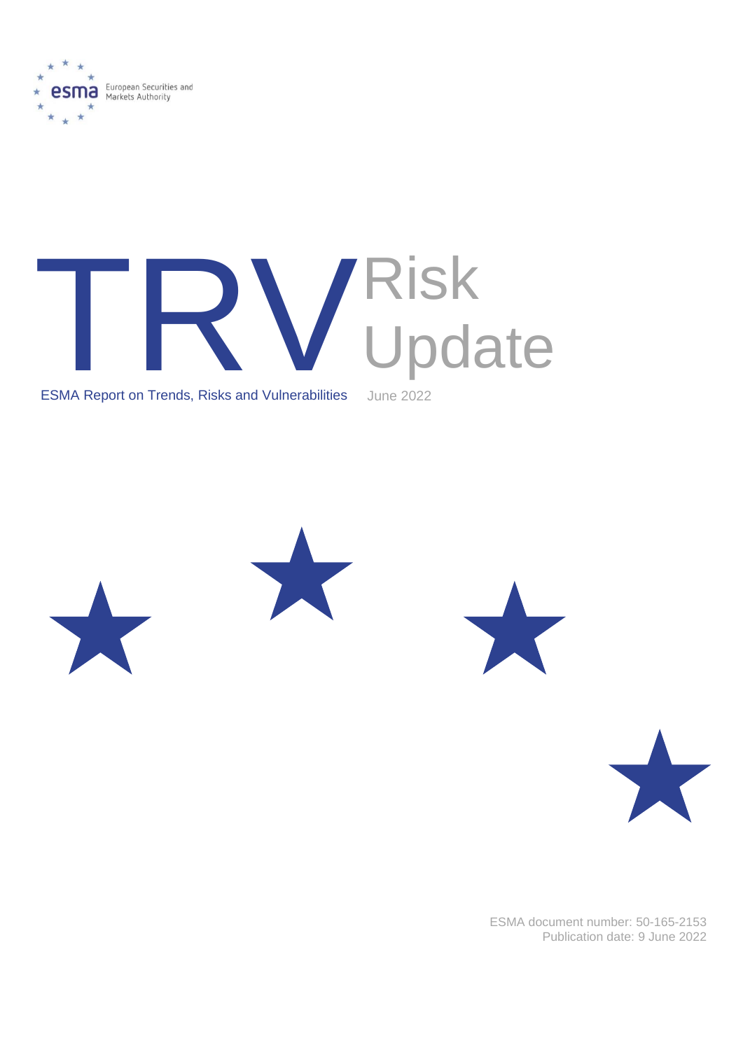

# ESMA Report on Trends, Risks and Vulnerabilities June 2022 Update

ESMA Report on Trends, Risks and Vulnerabilities June 2022









ESMA document number: 50-165-2153 Publication date: 9 June 2022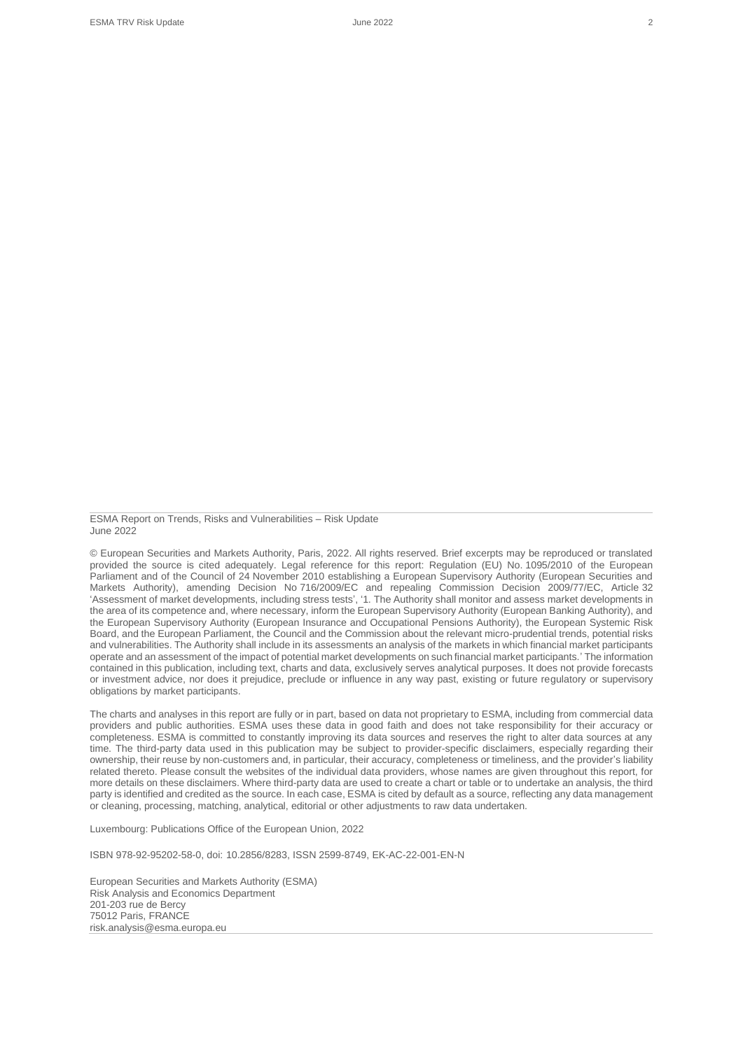ESMA Report on Trends, Risks and Vulnerabilities – Risk Update June 2022

© European Securities and Markets Authority, Paris, 2022. All rights reserved. Brief excerpts may be reproduced or translated provided the source is cited adequately. Legal reference for this report: Regulation (EU) No. 1095/2010 of the European Parliament and of the Council of 24 November 2010 establishing a European Supervisory Authority (European Securities and Markets Authority), amending Decision No 716/2009/EC and repealing Commission Decision 2009/77/EC, Article 32 'Assessment of market developments, including stress tests', '1. The Authority shall monitor and assess market developments in the area of its competence and, where necessary, inform the European Supervisory Authority (European Banking Authority), and the European Supervisory Authority (European Insurance and Occupational Pensions Authority), the European Systemic Risk Board, and the European Parliament, the Council and the Commission about the relevant micro-prudential trends, potential risks and vulnerabilities. The Authority shall include in its assessments an analysis of the markets in which financial market participants operate and an assessment of the impact of potential market developments on such financial market participants.' The information contained in this publication, including text, charts and data, exclusively serves analytical purposes. It does not provide forecasts or investment advice, nor does it prejudice, preclude or influence in any way past, existing or future regulatory or supervisory obligations by market participants.

The charts and analyses in this report are fully or in part, based on data not proprietary to ESMA, including from commercial data providers and public authorities. ESMA uses these data in good faith and does not take responsibility for their accuracy or completeness. ESMA is committed to constantly improving its data sources and reserves the right to alter data sources at any time. The third-party data used in this publication may be subject to provider-specific disclaimers, especially regarding their ownership, their reuse by non-customers and, in particular, their accuracy, completeness or timeliness, and the provider's liability related thereto. Please consult the websites of the individual data providers, whose names are given throughout this report, for more details on these disclaimers. Where third-party data are used to create a chart or table or to undertake an analysis, the third party is identified and credited as the source. In each case, ESMA is cited by default as a source, reflecting any data management or cleaning, processing, matching, analytical, editorial or other adjustments to raw data undertaken.

Luxembourg: Publications Office of the European Union, 2022

ISBN 978-92-95202-58-0, doi: 10.2856/8283, ISSN 2599-8749, EK-AC-22-001-EN-N

European Securities and Markets Authority (ESMA) Risk Analysis and Economics Department 201-203 rue de Bercy 75012 Paris, FRANCE risk.analysis@esma.europa.eu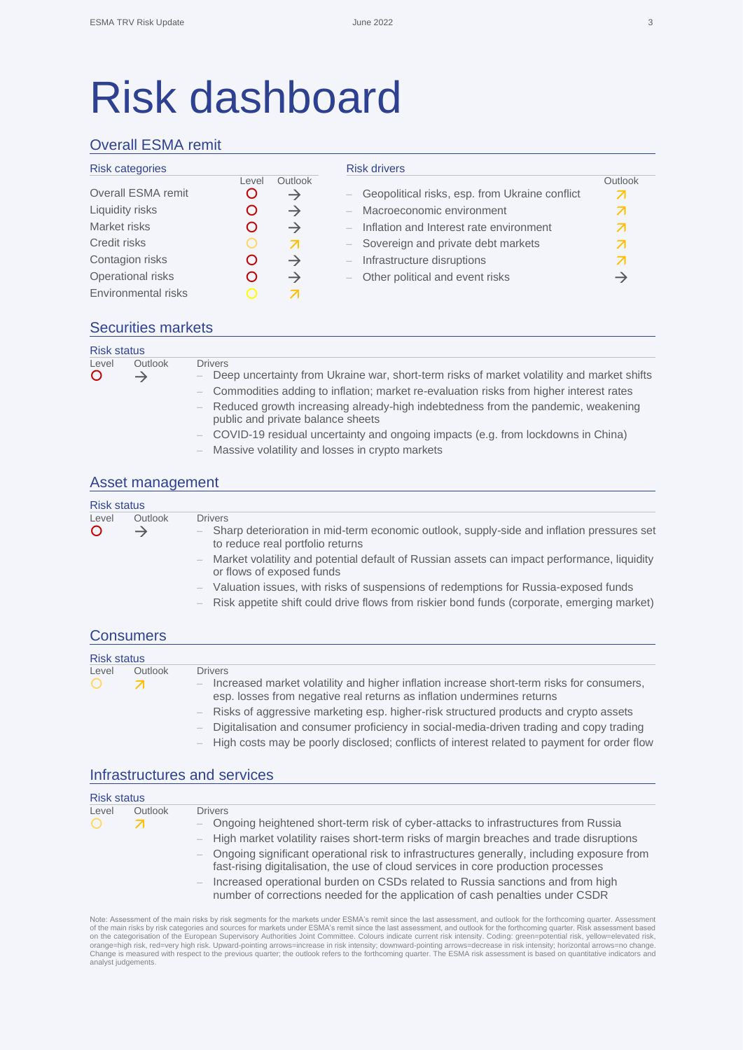# Risk dashboard

#### Overall ESMA remit

| <b>Risk categories</b> |       |               |                          | <b>Risk drivers</b>                            |                         |
|------------------------|-------|---------------|--------------------------|------------------------------------------------|-------------------------|
|                        | Level | Outlook       |                          |                                                | Outlook                 |
| Overall ESMA remit     |       | $\rightarrow$ | $\overline{\phantom{a}}$ | Geopolitical risks, esp. from Ukraine conflict | Z                       |
| Liquidity risks        | O     | $\rightarrow$ | $\equiv$                 | Macroeconomic environment                      | Z                       |
| Market risks           |       | $\rightarrow$ |                          | Inflation and Interest rate environment        | $\overline{\mathbf{z}}$ |
| Credit risks           |       | Z             | $\equiv$                 | Sovereign and private debt markets             | $\overline{\mathbf{z}}$ |
| Contagion risks        | ( )   | $\rightarrow$ | $=$                      | Infrastructure disruptions                     | Z                       |
| Operational risks      | O     | $\rightarrow$ |                          | Other political and event risks                | $\rightarrow$           |
| Environmental risks    |       |               |                          |                                                |                         |

#### Securities markets

| <b>Risk status</b> |                          |                                                                                                                                                                                                                                                                                                                                       |
|--------------------|--------------------------|---------------------------------------------------------------------------------------------------------------------------------------------------------------------------------------------------------------------------------------------------------------------------------------------------------------------------------------|
| Level<br>O         | Outlook<br>$\rightarrow$ | <b>Drivers</b><br>- Deep uncertainty from Ukraine war, short-term risks of market volatility and market shifts<br>- Commodities adding to inflation; market re-evaluation risks from higher interest rates<br>- Reduced growth increasing already-high indebtedness from the pandemic, weakening<br>public and private balance sheets |
|                    |                          | - COVID-19 residual uncertainty and ongoing impacts (e.g. from lockdowns in China)                                                                                                                                                                                                                                                    |

– Massive volatility and losses in crypto markets

#### Asset management

| <b>Risk status</b> |                          |                                                                                                                                                   |
|--------------------|--------------------------|---------------------------------------------------------------------------------------------------------------------------------------------------|
| Level<br>O         | Outlook<br>$\rightarrow$ | <b>Drivers</b><br>- Sharp deterioration in mid-term economic outlook, supply-side and inflation pressures set<br>to reduce real portfolio returns |
|                    |                          | - Market volatility and potential default of Russian assets can impact performance, liquidity<br>or flows of exposed funds                        |
|                    |                          | Valuation issues, with risks of suspensions of redemptions for Russia-exposed funds<br>$\overline{\phantom{m}}$                                   |
|                    |                          | Risk appetite shift could drive flows from riskier bond funds (corporate, emerging market)<br>$\overline{\phantom{a}}$                            |

#### **Consumers**

Infrastructures and services

| <b>Risk status</b> |                         |                                                                                                                                                                                                                                                                                   |
|--------------------|-------------------------|-----------------------------------------------------------------------------------------------------------------------------------------------------------------------------------------------------------------------------------------------------------------------------------|
| Level<br>$\Omega$  | Outlook<br>$\mathbf{z}$ | <b>Drivers</b><br>- Increased market volatility and higher inflation increase short-term risks for consumers,<br>esp. losses from negative real returns as inflation undermines returns<br>- Risks of aggressive marketing esp. higher-risk structured products and crypto assets |
|                    |                         | - Digitalisation and consumer proficiency in social-media-driven trading and copy trading                                                                                                                                                                                         |

– High costs may be poorly disclosed; conflicts of interest related to payment for order flow

#### Risk status **Outlook** Drivers – Ongoing heightened short-term risk of cyber-attacks to infrastructures from Russia – High market volatility raises short-term risks of margin breaches and trade disruptions – Ongoing significant operational risk to infrastructures generally, including exposure from fast-rising digitalisation, the use of cloud services in core production processes – Increased operational burden on CSDs related to Russia sanctions and from high number of corrections needed for the application of cash penalties under CSDR

Note: Assessment of the main risks by risk segments for the markets under ESMA's remit since the last assessment, and outlook for the forthcoming quarter. Assessment of the main risks by risk categories and sources for markets under ESMA's remit since the last assessment, and outlook for the forthcoming quarter. Risk assessment based on the categorisation of the European Supervisory Authorities Joint Committee. Colours indicate current risk intensity. Coding: green=potential risk, yellow=elevated risk,<br>orange=high risk, red=very high risk. Upward-point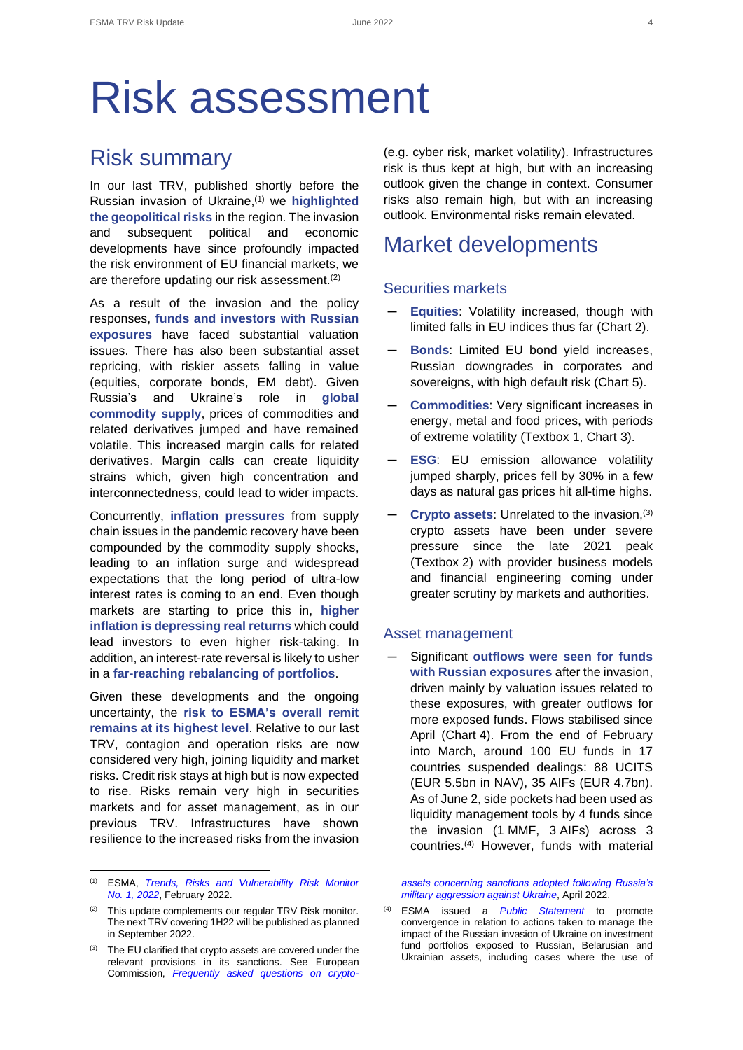# Risk assessment

### Risk summary

In our last TRV, published shortly before the Russian invasion of Ukraine, (1) we **highlighted the geopolitical risks** in the region. The invasion and subsequent political and economic developments have since profoundly impacted the risk environment of EU financial markets, we are therefore updating our risk assessment. (2)

As a result of the invasion and the policy responses, **funds and investors with Russian exposures** have faced substantial valuation issues. There has also been substantial asset repricing, with riskier assets falling in value (equities, corporate bonds, EM debt). Given Russia's and Ukraine's role in **global commodity supply**, prices of commodities and related derivatives jumped and have remained volatile. This increased margin calls for related derivatives. Margin calls can create liquidity strains which, given high concentration and interconnectedness, could lead to wider impacts.

Concurrently, **inflation pressures** from supply chain issues in the pandemic recovery have been compounded by the commodity supply shocks, leading to an inflation surge and widespread expectations that the long period of ultra-low interest rates is coming to an end. Even though markets are starting to price this in, **higher inflation is depressing real returns** which could lead investors to even higher risk-taking. In addition, an interest-rate reversal is likely to usher in a **far-reaching rebalancing of portfolios**.

Given these developments and the ongoing uncertainty, the **risk to ESMA's overall remit remains at its highest level**. Relative to our last TRV, contagion and operation risks are now considered very high, joining liquidity and market risks. Credit risk stays at high but is now expected to rise. Risks remain very high in securities markets and for asset management, as in our previous TRV. Infrastructures have shown resilience to the increased risks from the invasion

(e.g. cyber risk, market volatility). Infrastructures risk is thus kept at high, but with an increasing outlook given the change in context. Consumer risks also remain high, but with an increasing outlook. Environmental risks remain elevated.

## Market developments

#### Securities markets

- ─ **Equities**: Volatility increased, though with limited falls in EU indices thus far (Chart 2).
- ─ **Bonds**: Limited EU bond yield increases, Russian downgrades in corporates and sovereigns, with high default risk (Chart 5).
- **Commodities:** Very significant increases in energy, metal and food prices, with periods of extreme volatility (Textbox 1, Chart 3).
- ─ **ESG**: EU emission allowance volatility jumped sharply, prices fell by 30% in a few days as natural gas prices hit all-time highs.
- ─ **Crypto assets**: Unrelated to the invasion, (3) crypto assets have been under severe pressure since the late 2021 peak (Textbox 2) with provider business models and financial engineering coming under greater scrutiny by markets and authorities.

#### Asset management

─ Significant **outflows were seen for funds with Russian exposures** after the invasion, driven mainly by valuation issues related to these exposures, with greater outflows for more exposed funds. Flows stabilised since April (Chart 4). From the end of February into March, around 100 EU funds in 17 countries suspended dealings: 88 UCITS (EUR 5.5bn in NAV), 35 AIFs (EUR 4.7bn). As of June 2, side pockets had been used as liquidity management tools by 4 funds since the invasion (1 MMF, 3 AIFs) across 3 countries. (4) However, funds with material

*[assets concerning sanctions adopted following Russia's](https://ec.europa.eu/info/sites/default/files/business_economy_euro/banking_and_finance/documents/faqs-sanctions-russia-crypto_en.pdf)  [military aggression against Ukraine](https://ec.europa.eu/info/sites/default/files/business_economy_euro/banking_and_finance/documents/faqs-sanctions-russia-crypto_en.pdf)*, April 2022.

(4) ESMA issued a *[Public Statement](https://www.esma.europa.eu/press-news/esma-news/esma-reminds-fund-managers-their-obligations-investors-amid-war-in-ukraine)* to promote convergence in relation to actions taken to manage the impact of the Russian invasion of Ukraine on investment fund portfolios exposed to Russian, Belarusian and Ukrainian assets, including cases where the use of

<sup>(1)</sup> ESMA, *[Trends, Risks and Vulnerability Risk Monitor](https://www.esma.europa.eu/sites/default/files/library/esma50-165-2058_trv_1-22_risk_monitor.pdf)  No. [1, 2022](https://www.esma.europa.eu/sites/default/files/library/esma50-165-2058_trv_1-22_risk_monitor.pdf)*, February 2022.

 $(2)$  This update complements our regular TRV Risk monitor. The next TRV covering 1H22 will be published as planned in September 2022.

<sup>(3)</sup> The EU clarified that crypto assets are covered under the relevant provisions in its sanctions. See European Commission, *[Frequently asked questions on crypto-](https://ec.europa.eu/info/sites/default/files/business_economy_euro/banking_and_finance/documents/faqs-sanctions-russia-crypto_en.pdf)*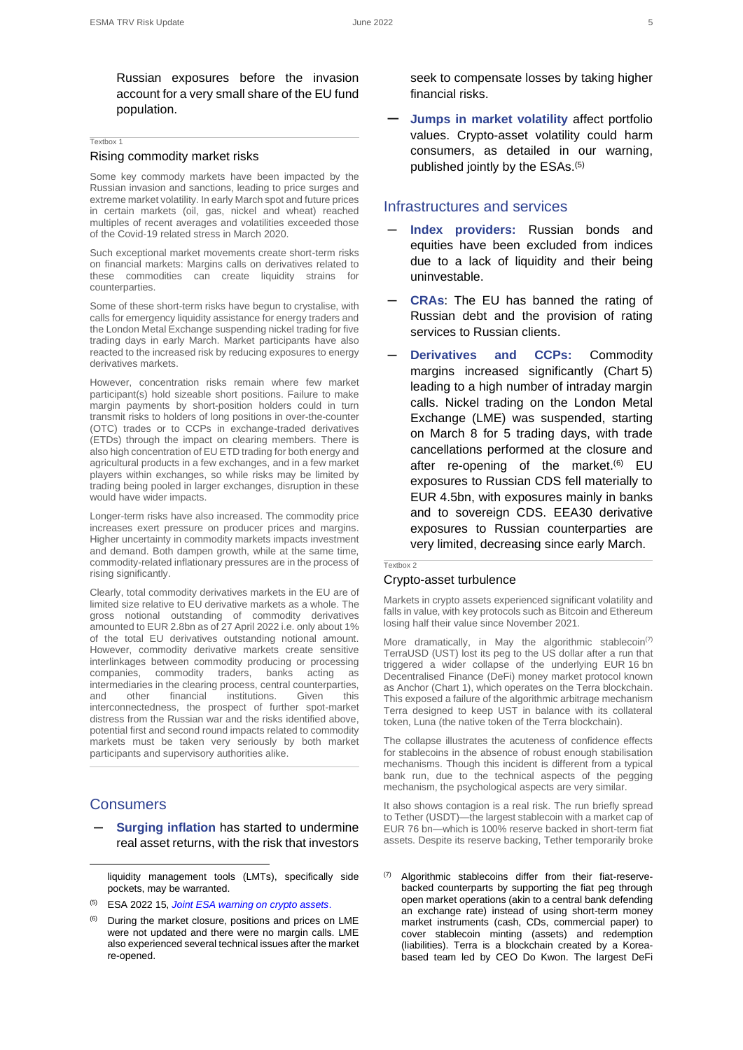#### Textbox 1

#### Rising commodity market risks

Some key commody markets have been impacted by the Russian invasion and sanctions, leading to price surges and extreme market volatility. In early March spot and future prices in certain markets (oil, gas, nickel and wheat) reached multiples of recent averages and volatilities exceeded those of the Covid-19 related stress in March 2020.

Such exceptional market movements create short-term risks on financial markets: Margins calls on derivatives related to these commodities can create liquidity strains for counterparties.

Some of these short-term risks have begun to crystalise, with calls for emergency liquidity assistance for energy traders and the London Metal Exchange suspending nickel trading for five trading days in early March. Market participants have also reacted to the increased risk by reducing exposures to energy derivatives markets.

However, concentration risks remain where few market participant(s) hold sizeable short positions. Failure to make margin payments by short-position holders could in turn transmit risks to holders of long positions in over-the-counter (OTC) trades or to CCPs in exchange-traded derivatives (ETDs) through the impact on clearing members. There is also high concentration of EU ETD trading for both energy and agricultural products in a few exchanges, and in a few market players within exchanges, so while risks may be limited by trading being pooled in larger exchanges, disruption in these would have wider impacts.

Longer-term risks have also increased. The commodity price increases exert pressure on producer prices and margins. Higher uncertainty in commodity markets impacts investment and demand. Both dampen growth, while at the same time, commodity-related inflationary pressures are in the process of rising significantly.

Clearly, total commodity derivatives markets in the EU are of limited size relative to EU derivative markets as a whole. The gross notional outstanding of commodity derivatives amounted to EUR 2.8bn as of 27 April 2022 i.e. only about 1% of the total EU derivatives outstanding notional amount. However, commodity derivative markets create sensitive interlinkages between commodity producing or processing companies, commodity traders, banks acting as intermediaries in the clearing process, central counterparties,<br>and other financial institutions. Given this and other financial institutions. Given this interconnectedness, the prospect of further spot-market distress from the Russian war and the risks identified above, potential first and second round impacts related to commodity markets must be taken very seriously by both market participants and supervisory authorities alike.

#### **Consumers**

**Surging inflation** has started to undermine real asset returns, with the risk that investors

seek to compensate losses by taking higher financial risks.

─ **Jumps in market volatility** affect portfolio values. Crypto-asset volatility could harm consumers, as detailed in our warning, published jointly by the ESAs. (5)

#### Infrastructures and services

- ─ **Index providers:** Russian bonds and equities have been excluded from indices due to a lack of liquidity and their being uninvestable.
- ─ **CRAs**: The EU has banned the rating of Russian debt and the provision of rating services to Russian clients.
- Derivatives and CCPs: Commodity margins increased significantly (Chart 5) leading to a high number of intraday margin calls. Nickel trading on the London Metal Exchange (LME) was suspended, starting on March 8 for 5 trading days, with trade cancellations performed at the closure and after re-opening of the market. (6) EU exposures to Russian CDS fell materially to EUR 4.5bn, with exposures mainly in banks and to sovereign CDS. EEA30 derivative exposures to Russian counterparties are very limited, decreasing since early March.

#### Textbox 2

#### Crypto-asset turbulence

Markets in crypto assets experienced significant volatility and falls in value, with key protocols such as Bitcoin and Ethereum losing half their value since November 2021.

More dramatically, in May the algorithmic stablecoin<sup>(7)</sup> TerraUSD (UST) lost its peg to the US dollar after a run that triggered a wider collapse of the underlying EUR 16 bn Decentralised Finance (DeFi) money market protocol known as Anchor (Chart 1), which operates on the Terra blockchain. This exposed a failure of the algorithmic arbitrage mechanism Terra designed to keep UST in balance with its collateral token, Luna (the native token of the Terra blockchain).

The collapse illustrates the acuteness of confidence effects for stablecoins in the absence of robust enough stabilisation mechanisms. Though this incident is different from a typical bank run, due to the technical aspects of the pegging mechanism, the psychological aspects are very similar.

It also shows contagion is a real risk. The run briefly spread to Tether (USDT)—the largest stablecoin with a market cap of EUR 76 bn—which is 100% reserve backed in short-term fiat assets. Despite its reserve backing, Tether temporarily broke

(7) Algorithmic stablecoins differ from their fiat-reservebacked counterparts by supporting the fiat peg through open market operations (akin to a central bank defending an exchange rate) instead of using short-term money market instruments (cash, CDs, commercial paper) to cover stablecoin minting (assets) and redemption (liabilities). Terra is a blockchain created by a Koreabased team led by CEO Do Kwon. The largest DeFi

liquidity management tools (LMTs), specifically side pockets, may be warranted.

<sup>(5)</sup> ESA 2022 15, *[Joint ESA warning on crypto assets](https://www.esma.europa.eu/sites/default/files/library/esa_2022_15_joint_esas_warning_on_crypto-assets.pdf)*.

During the market closure, positions and prices on LME were not updated and there were no margin calls. LME also experienced several technical issues after the market re-opened.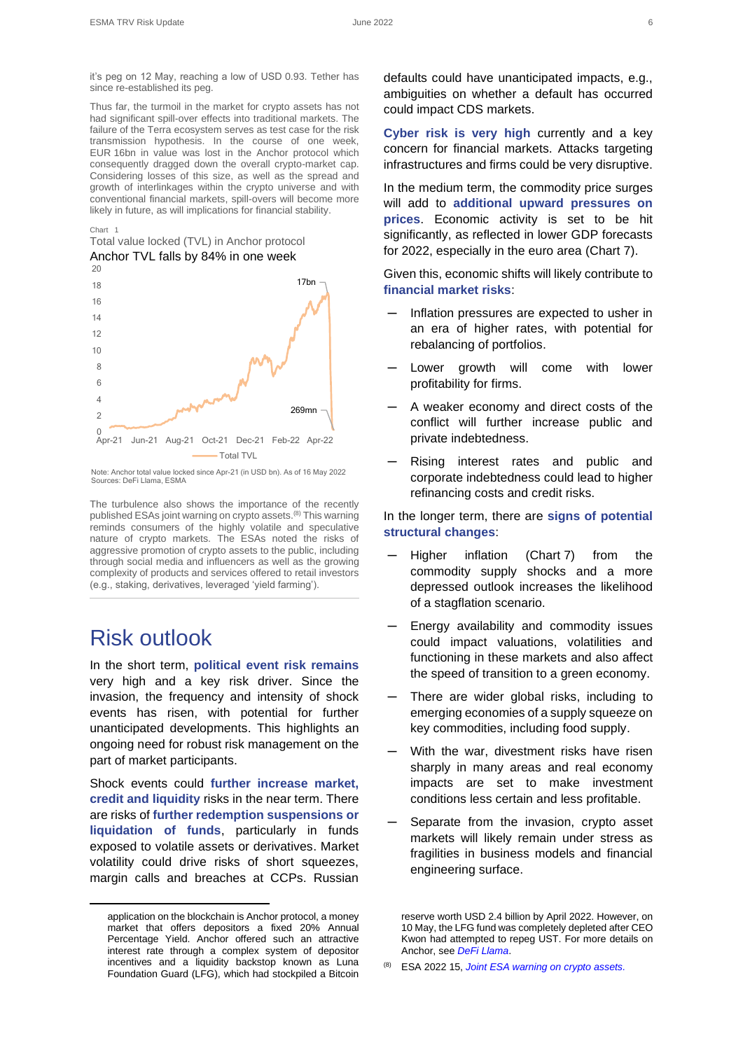it's peg on 12 May, reaching a low of USD 0.93. Tether has since re-established its peg.

Thus far, the turmoil in the market for crypto assets has not had significant spill-over effects into traditional markets. The failure of the Terra ecosystem serves as test case for the risk transmission hypothesis. In the course of one week, EUR 16bn in value was lost in the Anchor protocol which consequently dragged down the overall crypto-market cap. Considering losses of this size, as well as the spread and growth of interlinkages within the crypto universe and with conventional financial markets, spill-overs will become more likely in future, as will implications for financial stability.

Chart 1

Total value locked (TVL) in Anchor protocol

Anchor TVL falls by 84% in one week



Note: Anchor total value locked since Apr-21 (in USD bn). As of 16 May 2022 Sources: DeFi Llama, ESMA

The turbulence also shows the importance of the recently published ESAs joint warning on crypto assets.<sup>(8)</sup> This warning reminds consumers of the highly volatile and speculative nature of crypto markets. The ESAs noted the risks of aggressive promotion of crypto assets to the public, including through social media and influencers as well as the growing complexity of products and services offered to retail investors (e.g., staking, derivatives, leveraged 'yield farming').

### Risk outlook

In the short term, **political event risk remains** very high and a key risk driver. Since the invasion, the frequency and intensity of shock events has risen, with potential for further unanticipated developments. This highlights an ongoing need for robust risk management on the part of market participants.

Shock events could **further increase market, credit and liquidity** risks in the near term. There are risks of **further redemption suspensions or liquidation of funds**, particularly in funds exposed to volatile assets or derivatives. Market volatility could drive risks of short squeezes, margin calls and breaches at CCPs. Russian

defaults could have unanticipated impacts, e.g., ambiguities on whether a default has occurred could impact CDS markets.

**Cyber risk is very high** currently and a key concern for financial markets. Attacks targeting infrastructures and firms could be very disruptive.

In the medium term, the commodity price surges will add to **additional upward pressures on prices**. Economic activity is set to be hit significantly, as reflected in lower GDP forecasts for 2022, especially in the euro area (Chart 7).

Given this, economic shifts will likely contribute to **financial market risks**:

- Inflation pressures are expected to usher in an era of higher rates, with potential for rebalancing of portfolios.
- Lower growth will come with lower profitability for firms.
- A weaker economy and direct costs of the conflict will further increase public and private indebtedness.
- Rising interest rates and public and corporate indebtedness could lead to higher refinancing costs and credit risks.

In the longer term, there are **signs of potential structural changes**:

- Higher inflation (Chart 7) from the commodity supply shocks and a more depressed outlook increases the likelihood of a stagflation scenario.
- Energy availability and commodity issues could impact valuations, volatilities and functioning in these markets and also affect the speed of transition to a green economy.
- There are wider global risks, including to emerging economies of a supply squeeze on key commodities, including food supply.
- With the war, divestment risks have risen sharply in many areas and real economy impacts are set to make investment conditions less certain and less profitable.
- Separate from the invasion, crypto asset markets will likely remain under stress as fragilities in business models and financial engineering surface.

application on the blockchain is Anchor protocol, a money market that offers depositors a fixed 20% Annual Percentage Yield. Anchor offered such an attractive interest rate through a complex system of depositor incentives and a liquidity backstop known as Luna Foundation Guard (LFG), which had stockpiled a Bitcoin

reserve worth USD 2.4 billion by April 2022. However, on 10 May, the LFG fund was completely depleted after CEO Kwon had attempted to repeg UST. For more details on Anchor, see *[DeFi Llama](https://defillama.com/protocol/anchor)*.

<sup>(8)</sup> ESA 2022 15, *[Joint ESA warning on crypto assets.](https://www.esma.europa.eu/sites/default/files/library/esa_2022_15_joint_esas_warning_on_crypto-assets.pdf)*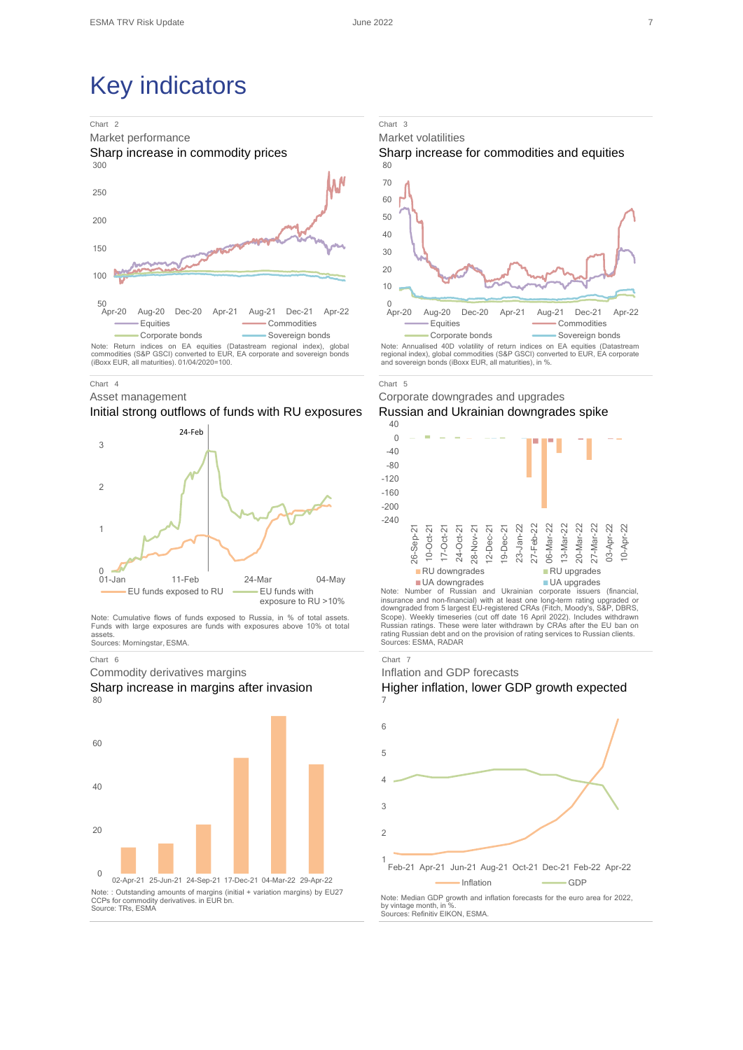

Chart 4 Chart 5





Note: Cumulative flows of funds exposed to Russia, in % of total assets. Funds with large exposures are funds with exposures above 10% ot total assets. Sources: Morningstar, ESMA

Commodity derivatives margins **Inflation** and GDP forecasts

80



Source: TRs, ESMA













insurance and non-financial) with at least one long-term rating upgraded or downgraded from 5 largest EU-registered CRAs (Fitch, Moody's, S&P, DBRS, Scope). Weekly timeseries (cut off date 16 April 2022). Includes withdrawn<br>Russian ratings. These were later withdrawn by CRAs after the EU ban on<br>rating Russian debt and on the provision of rating services to Russian clie Sources: ESMA, RADAR







Note: Median GDP growth and inflation forecasts for the euro area for 2022, by vintage month, in %. Sources: Refinitiv EIKON, ESMA.